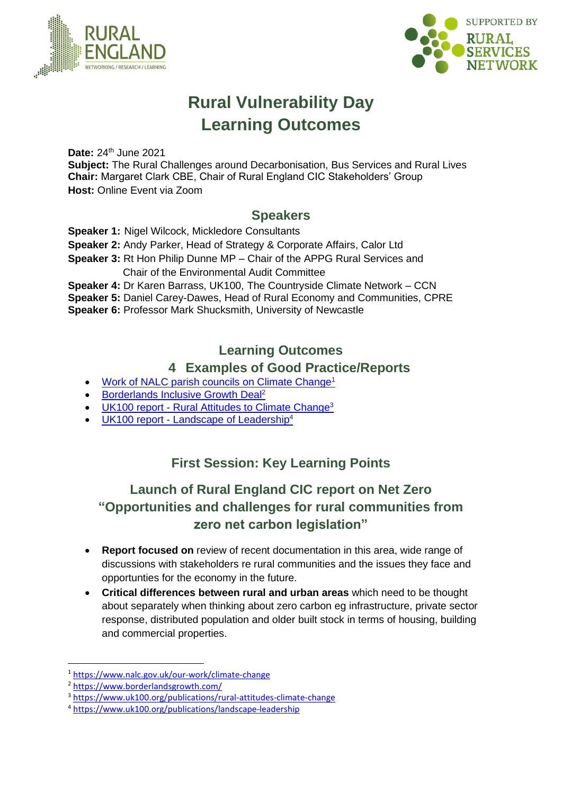



# **Rural Vulnerability Day Learning Outcomes**

**Date: 24th June 2021** 

**Subject:** The Rural Challenges around Decarbonisation, Bus Services and Rural Lives **Chair:** Margaret Clark CBE, Chair of Rural England CIC Stakeholders' Group **Host:** Online Event via Zoom

### **Speakers**

**Speaker 1:** Nigel Wilcock, Mickledore Consultants

**Speaker 2:** Andy Parker, Head of Strategy & Corporate Affairs, Calor Ltd

**Speaker 3:** Rt Hon Philip Dunne MP – Chair of the APPG Rural Services and

Chair of the Environmental Audit Committee

**Speaker 4:** Dr Karen Barrass, UK100, The Countryside Climate Network – CCN

**Speaker 5:** Daniel Carey-Dawes, Head of Rural Economy and Communities, CPRE

**Speaker 6:** Professor Mark Shucksmith, University of Newcastle

### **Learning Outcomes**

#### **4 Examples of Good Practice/Reports**

- [Work of NALC parish councils on Climate Change](https://www.nalc.gov.uk/our-work/climate-change)<sup>1</sup>
- **Borderlands [Inclusive Growth Deal](https://www.borderlandsgrowth.com/)<sup>2</sup>**
- UK100 report [Rural Attitudes to Climate Change](https://www.uk100.org/publications/rural-attitudes-climate-change)<sup>3</sup>
- UK100 report [Landscape of Leadership](https://www.uk100.org/publications/landscape-leadership)<sup>4</sup>

# **First Session: Key Learning Points**

# **Launch of Rural England CIC report on Net Zero "Opportunities and challenges for rural communities from zero net carbon legislation"**

- **Report focused on** review of recent documentation in this area, wide range of discussions with stakeholders re rural communities and the issues they face and opportunties for the economy in the future.
- **Critical differences between rural and urban areas** which need to be thought about separately when thinking about zero carbon eg infrastructure, private sector response, distributed population and older built stock in terms of housing, building and commercial properties.

<sup>1</sup> <https://www.nalc.gov.uk/our-work/climate-change>

<sup>2</sup> <https://www.borderlandsgrowth.com/>

<sup>3</sup> <https://www.uk100.org/publications/rural-attitudes-climate-change>

<sup>4</sup> <https://www.uk100.org/publications/landscape-leadership>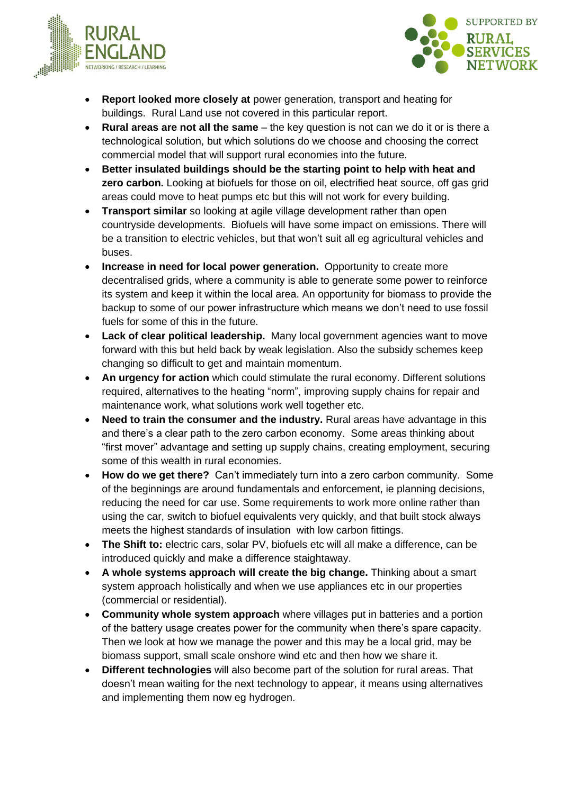



- **Report looked more closely at** power generation, transport and heating for buildings. Rural Land use not covered in this particular report.
- **Rural areas are not all the same**  the key question is not can we do it or is there a technological solution, but which solutions do we choose and choosing the correct commercial model that will support rural economies into the future.
- **Better insulated buildings should be the starting point to help with heat and zero carbon.** Looking at biofuels for those on oil, electrified heat source, off gas grid areas could move to heat pumps etc but this will not work for every building.
- **Transport similar** so looking at agile village development rather than open countryside developments. Biofuels will have some impact on emissions. There will be a transition to electric vehicles, but that won't suit all eg agricultural vehicles and buses.
- **Increase in need for local power generation.** Opportunity to create more decentralised grids, where a community is able to generate some power to reinforce its system and keep it within the local area. An opportunity for biomass to provide the backup to some of our power infrastructure which means we don't need to use fossil fuels for some of this in the future.
- **Lack of clear political leadership.** Many local government agencies want to move forward with this but held back by weak legislation. Also the subsidy schemes keep changing so difficult to get and maintain momentum.
- **An urgency for action** which could stimulate the rural economy. Different solutions required, alternatives to the heating "norm", improving supply chains for repair and maintenance work, what solutions work well together etc.
- **Need to train the consumer and the industry.** Rural areas have advantage in this and there's a clear path to the zero carbon economy. Some areas thinking about "first mover" advantage and setting up supply chains, creating employment, securing some of this wealth in rural economies.
- **How do we get there?** Can't immediately turn into a zero carbon community. Some of the beginnings are around fundamentals and enforcement, ie planning decisions, reducing the need for car use. Some requirements to work more online rather than using the car, switch to biofuel equivalents very quickly, and that built stock always meets the highest standards of insulation with low carbon fittings.
- **The Shift to:** electric cars, solar PV, biofuels etc will all make a difference, can be introduced quickly and make a difference staightaway.
- **A whole systems approach will create the big change.** Thinking about a smart system approach holistically and when we use appliances etc in our properties (commercial or residential).
- **Community whole system approach** where villages put in batteries and a portion of the battery usage creates power for the community when there's spare capacity. Then we look at how we manage the power and this may be a local grid, may be biomass support, small scale onshore wind etc and then how we share it.
- **Different technologies** will also become part of the solution for rural areas. That doesn't mean waiting for the next technology to appear, it means using alternatives and implementing them now eg hydrogen.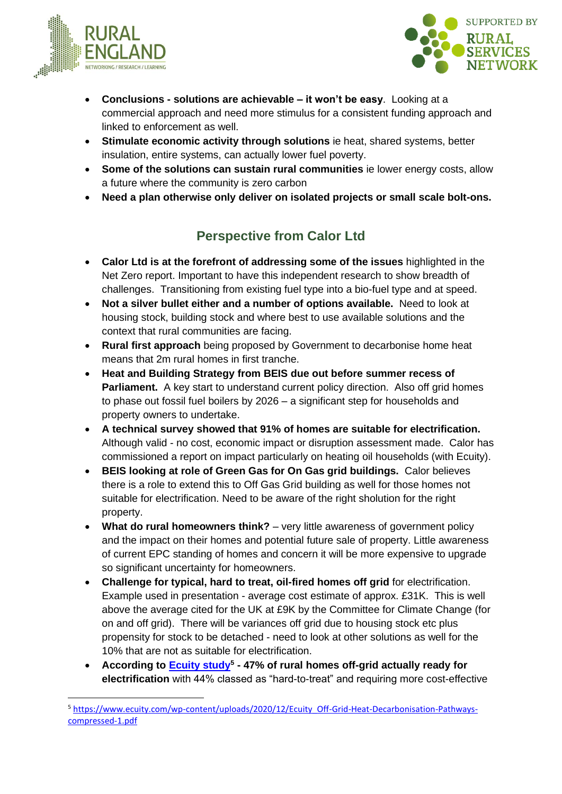



- **Conclusions - solutions are achievable – it won't be easy**. Looking at a commercial approach and need more stimulus for a consistent funding approach and linked to enforcement as well.
- **Stimulate economic activity through solutions** ie heat, shared systems, better insulation, entire systems, can actually lower fuel poverty.
- **Some of the solutions can sustain rural communities** ie lower energy costs, allow a future where the community is zero carbon
- **Need a plan otherwise only deliver on isolated projects or small scale bolt-ons.**

# **Perspective from Calor Ltd**

- **Calor Ltd is at the forefront of addressing some of the issues** highlighted in the Net Zero report. Important to have this independent research to show breadth of challenges. Transitioning from existing fuel type into a bio-fuel type and at speed.
- **Not a silver bullet either and a number of options available.** Need to look at housing stock, building stock and where best to use available solutions and the context that rural communities are facing.
- **Rural first approach** being proposed by Government to decarbonise home heat means that 2m rural homes in first tranche.
- **Heat and Building Strategy from BEIS due out before summer recess of Parliament.** A key start to understand current policy direction. Also off grid homes to phase out fossil fuel boilers by 2026 – a significant step for households and property owners to undertake.
- **A technical survey showed that 91% of homes are suitable for electrification.** Although valid - no cost, economic impact or disruption assessment made. Calor has commissioned a report on impact particularly on heating oil households (with Ecuity).
- **BEIS looking at role of Green Gas for On Gas grid buildings.** Calor believes there is a role to extend this to Off Gas Grid building as well for those homes not suitable for electrification. Need to be aware of the right sholution for the right property.
- What do rural homeowners think? very little awareness of government policy and the impact on their homes and potential future sale of property. Little awareness of current EPC standing of homes and concern it will be more expensive to upgrade so significant uncertainty for homeowners.
- **Challenge for typical, hard to treat, oil-fired homes off grid** for electrification. Example used in presentation - average cost estimate of approx. £31K. This is well above the average cited for the UK at £9K by the Committee for Climate Change (for on and off grid). There will be variances off grid due to housing stock etc plus propensity for stock to be detached - need to look at other solutions as well for the 10% that are not as suitable for electrification.
- According to **Ecuity study**<sup>5</sup> 47% of rural homes off-grid actually ready for **electrification** with 44% classed as "hard-to-treat" and requiring more cost-effective

<sup>5</sup> [https://www.ecuity.com/wp-content/uploads/2020/12/Ecuity\\_Off-Grid-Heat-Decarbonisation-Pathways](https://eur02.safelinks.protection.outlook.com/?url=https%3A%2F%2Fwww.ecuity.com%2Fwp-content%2Fuploads%2F2020%2F12%2FEcuity_Off-Grid-Heat-Decarbonisation-Pathways-compressed-1.pdf&data=04%7C01%7Caparker%40calor.co.uk%7C82ad188338874e27817508d946c4c310%7C7b81ccc5ba354bf8854f49f9c02d3fb1%7C0%7C0%7C637618634069463490%7CUnknown%7CTWFpbGZsb3d8eyJWIjoiMC4wLjAwMDAiLCJQIjoiV2luMzIiLCJBTiI6Ik1haWwiLCJXVCI6Mn0%3D%7C2000&sdata=mGs6FRpOOYPkb17CRNhYM3AL5lY8k3Iz%2FIqKe%2F%2FiOjI%3D&reserved=0)[compressed-1.pdf](https://eur02.safelinks.protection.outlook.com/?url=https%3A%2F%2Fwww.ecuity.com%2Fwp-content%2Fuploads%2F2020%2F12%2FEcuity_Off-Grid-Heat-Decarbonisation-Pathways-compressed-1.pdf&data=04%7C01%7Caparker%40calor.co.uk%7C82ad188338874e27817508d946c4c310%7C7b81ccc5ba354bf8854f49f9c02d3fb1%7C0%7C0%7C637618634069463490%7CUnknown%7CTWFpbGZsb3d8eyJWIjoiMC4wLjAwMDAiLCJQIjoiV2luMzIiLCJBTiI6Ik1haWwiLCJXVCI6Mn0%3D%7C2000&sdata=mGs6FRpOOYPkb17CRNhYM3AL5lY8k3Iz%2FIqKe%2F%2FiOjI%3D&reserved=0)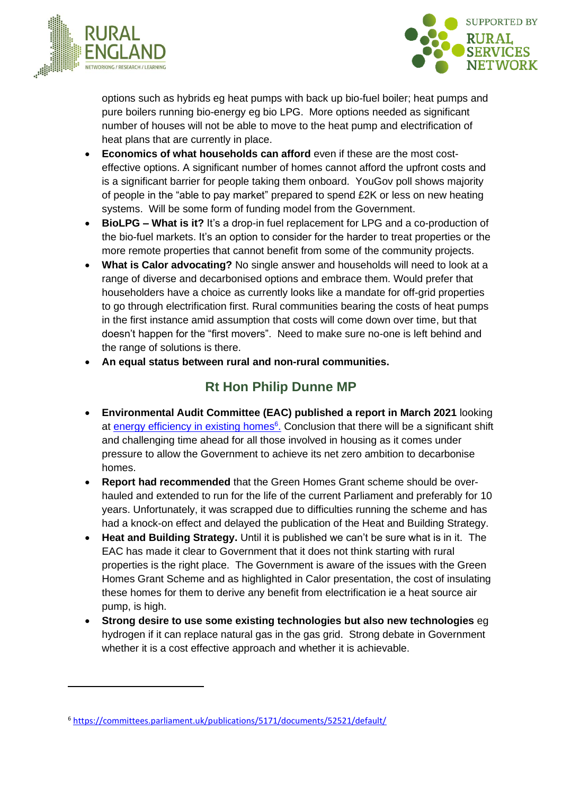



options such as hybrids eg heat pumps with back up bio-fuel boiler; heat pumps and pure boilers running bio-energy eg bio LPG. More options needed as significant number of houses will not be able to move to the heat pump and electrification of heat plans that are currently in place.

- **Economics of what households can afford** even if these are the most costeffective options. A significant number of homes cannot afford the upfront costs and is a significant barrier for people taking them onboard. YouGov poll shows majority of people in the "able to pay market" prepared to spend £2K or less on new heating systems. Will be some form of funding model from the Government.
- **BioLPG – What is it?** It's a drop-in fuel replacement for LPG and a co-production of the bio-fuel markets. It's an option to consider for the harder to treat properties or the more remote properties that cannot benefit from some of the community projects.
- **What is Calor advocating?** No single answer and households will need to look at a range of diverse and decarbonised options and embrace them. Would prefer that householders have a choice as currently looks like a mandate for off-grid properties to go through electrification first. Rural communities bearing the costs of heat pumps in the first instance amid assumption that costs will come down over time, but that doesn't happen for the "first movers". Need to make sure no-one is left behind and the range of solutions is there.
- **An equal status between rural and non-rural communities.**

# **Rt Hon Philip Dunne MP**

- **Environmental Audit Committee (EAC) published a report in March 2021** looking at [energy efficiency in existing homes](https://committees.parliament.uk/publications/5171/documents/52521/default/)<sup>6</sup>. Conclusion that there will be a significant shift and challenging time ahead for all those involved in housing as it comes under pressure to allow the Government to achieve its net zero ambition to decarbonise homes.
- **Report had recommended** that the Green Homes Grant scheme should be overhauled and extended to run for the life of the current Parliament and preferably for 10 years. Unfortunately, it was scrapped due to difficulties running the scheme and has had a knock-on effect and delayed the publication of the Heat and Building Strategy.
- **Heat and Building Strategy.** Until it is published we can't be sure what is in it. The EAC has made it clear to Government that it does not think starting with rural properties is the right place. The Government is aware of the issues with the Green Homes Grant Scheme and as highlighted in Calor presentation, the cost of insulating these homes for them to derive any benefit from electrification ie a heat source air pump, is high.
- **Strong desire to use some existing technologies but also new technologies** eg hydrogen if it can replace natural gas in the gas grid. Strong debate in Government whether it is a cost effective approach and whether it is achievable.

<sup>6</sup> <https://committees.parliament.uk/publications/5171/documents/52521/default/>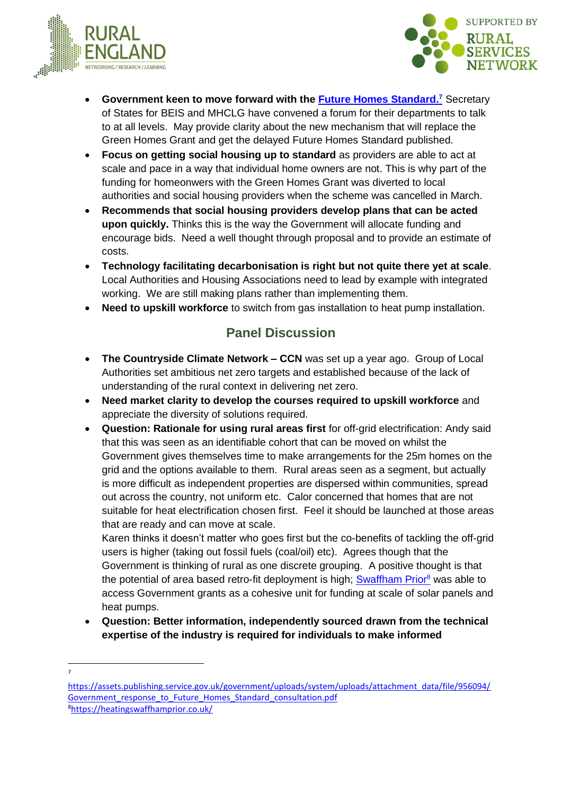



- **Government keen to move forward with the [Future Homes Standard.](https://assets.publishing.service.gov.uk/government/uploads/system/uploads/attachment_data/file/956094/Government_response_to_Future_Homes_Standard_consultation.pdf) <sup>7</sup>** Secretary of States for BEIS and MHCLG have convened a forum for their departments to talk to at all levels. May provide clarity about the new mechanism that will replace the Green Homes Grant and get the delayed Future Homes Standard published.
- **Focus on getting social housing up to standard** as providers are able to act at scale and pace in a way that individual home owners are not. This is why part of the funding for homeonwers with the Green Homes Grant was diverted to local authorities and social housing providers when the scheme was cancelled in March.
- **Recommends that social housing providers develop plans that can be acted upon quickly.** Thinks this is the way the Government will allocate funding and encourage bids. Need a well thought through proposal and to provide an estimate of costs.
- **Technology facilitating decarbonisation is right but not quite there yet at scale**. Local Authorities and Housing Associations need to lead by example with integrated working. We are still making plans rather than implementing them.
- **Need to upskill workforce** to switch from gas installation to heat pump installation.

### **Panel Discussion**

- **The Countryside Climate Network – CCN** was set up a year ago. Group of Local Authorities set ambitious net zero targets and established because of the lack of understanding of the rural context in delivering net zero.
- **Need market clarity to develop the courses required to upskill workforce** and appreciate the diversity of solutions required.
- **Question: Rationale for using rural areas first** for off-grid electrification: Andy said that this was seen as an identifiable cohort that can be moved on whilst the Government gives themselves time to make arrangements for the 25m homes on the grid and the options available to them. Rural areas seen as a segment, but actually is more difficult as independent properties are dispersed within communities, spread out across the country, not uniform etc. Calor concerned that homes that are not suitable for heat electrification chosen first. Feel it should be launched at those areas that are ready and can move at scale.

Karen thinks it doesn't matter who goes first but the co-benefits of tackling the off-grid users is higher (taking out fossil fuels (coal/oil) etc). Agrees though that the Government is thinking of rural as one discrete grouping. A positive thought is that the potential of area based retro-fit deployment is high; **Swaffham Prior**<sup>8</sup> was able to access Government grants as a cohesive unit for funding at scale of solar panels and heat pumps.

- **Question: Better information, independently sourced drawn from the technical expertise of the industry is required for individuals to make informed**
- 7

[https://assets.publishing.service.gov.uk/government/uploads/system/uploads/attachment\\_data/file/956094/](https://assets.publishing.service.gov.uk/government/uploads/system/uploads/attachment_data/file/956094/Government_response_to_Future_Homes_Standard_consultation.pdf) Government response to Future Homes Standard consultation.pdf 8<https://heatingswaffhamprior.co.uk/>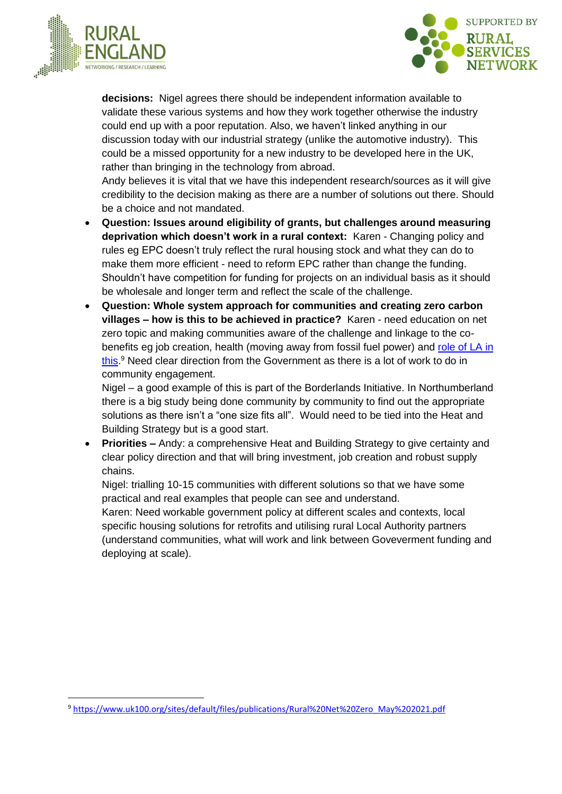



**decisions:** Nigel agrees there should be independent information available to validate these various systems and how they work together otherwise the industry could end up with a poor reputation. Also, we haven't linked anything in our discussion today with our industrial strategy (unlike the automotive industry). This could be a missed opportunity for a new industry to be developed here in the UK, rather than bringing in the technology from abroad.

Andy believes it is vital that we have this independent research/sources as it will give credibility to the decision making as there are a number of solutions out there. Should be a choice and not mandated.

- **Question: Issues around eligibility of grants, but challenges around measuring deprivation which doesn't work in a rural context:** Karen - Changing policy and rules eg EPC doesn't truly reflect the rural housing stock and what they can do to make them more efficient - need to reform EPC rather than change the funding. Shouldn't have competition for funding for projects on an individual basis as it should be wholesale and longer term and reflect the scale of the challenge.
- **Question: Whole system approach for communities and creating zero carbon villages – how is this to be achieved in practice?** Karen - need education on net zero topic and making communities aware of the challenge and linkage to the cobenefits eg job creation, health (moving away from fossil fuel power) and [role of LA in](https://www.uk100.org/sites/default/files/publications/Rural%20Net%20Zero_May%202021.pdf)  [this.](https://www.uk100.org/sites/default/files/publications/Rural%20Net%20Zero_May%202021.pdf)<sup>9</sup> Need clear direction from the Government as there is a lot of work to do in community engagement.

Nigel – a good example of this is part of the Borderlands Initiative. In Northumberland there is a big study being done community by community to find out the appropriate solutions as there isn't a "one size fits all". Would need to be tied into the Heat and Building Strategy but is a good start.

• **Priorities –** Andy: a comprehensive Heat and Building Strategy to give certainty and clear policy direction and that will bring investment, job creation and robust supply chains.

Nigel: trialling 10-15 communities with different solutions so that we have some practical and real examples that people can see and understand.

Karen: Need workable government policy at different scales and contexts, local specific housing solutions for retrofits and utilising rural Local Authority partners (understand communities, what will work and link between Goveverment funding and deploying at scale).

<sup>9</sup> [https://www.uk100.org/sites/default/files/publications/Rural%20Net%20Zero\\_May%202021.pdf](https://www.uk100.org/sites/default/files/publications/Rural%20Net%20Zero_May%202021.pdf)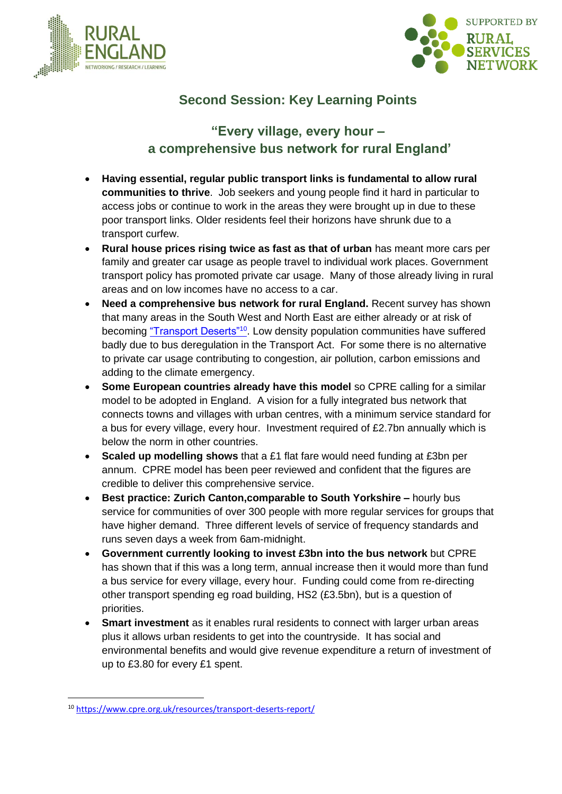



# **Second Session: Key Learning Points**

### **"Every village, every hour – a comprehensive bus network for rural England'**

- **Having essential, regular public transport links is fundamental to allow rural communities to thrive**. Job seekers and young people find it hard in particular to access jobs or continue to work in the areas they were brought up in due to these poor transport links. Older residents feel their horizons have shrunk due to a transport curfew.
- **Rural house prices rising twice as fast as that of urban** has meant more cars per family and greater car usage as people travel to individual work places. Government transport policy has promoted private car usage. Many of those already living in rural areas and on low incomes have no access to a car.
- **Need a comprehensive bus network for rural England.** Recent survey has shown that many areas in the South West and North East are either already or at risk of becoming ["Transport Deserts"](https://www.cpre.org.uk/resources/transport-deserts-report/)<sup>10</sup>. Low density population communities have suffered badly due to bus deregulation in the Transport Act. For some there is no alternative to private car usage contributing to congestion, air pollution, carbon emissions and adding to the climate emergency.
- **Some European countries already have this model** so CPRE calling for a similar model to be adopted in England. A vision for a fully integrated bus network that connects towns and villages with urban centres, with a minimum service standard for a bus for every village, every hour. Investment required of £2.7bn annually which is below the norm in other countries.
- **Scaled up modelling shows** that a £1 flat fare would need funding at £3bn per annum. CPRE model has been peer reviewed and confident that the figures are credible to deliver this comprehensive service.
- **Best practice: Zurich Canton,comparable to South Yorkshire –** hourly bus service for communities of over 300 people with more regular services for groups that have higher demand. Three different levels of service of frequency standards and runs seven days a week from 6am-midnight.
- **Government currently looking to invest £3bn into the bus network** but CPRE has shown that if this was a long term, annual increase then it would more than fund a bus service for every village, every hour. Funding could come from re-directing other transport spending eg road building, HS2 (£3.5bn), but is a question of priorities.
- **Smart investment** as it enables rural residents to connect with larger urban areas plus it allows urban residents to get into the countryside. It has social and environmental benefits and would give revenue expenditure a return of investment of up to £3.80 for every £1 spent.

<sup>10</sup> <https://www.cpre.org.uk/resources/transport-deserts-report/>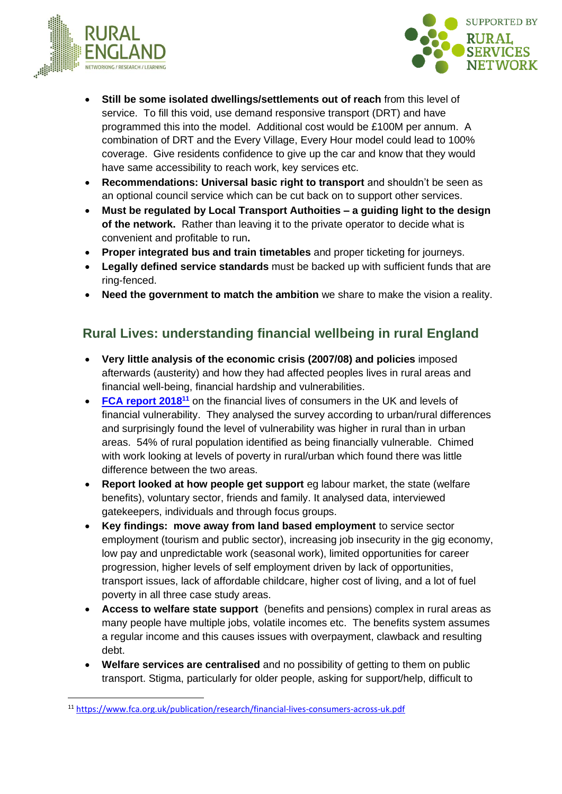



- **Still be some isolated dwellings/settlements out of reach** from this level of service. To fill this void, use demand responsive transport (DRT) and have programmed this into the model. Additional cost would be £100M per annum. A combination of DRT and the Every Village, Every Hour model could lead to 100% coverage. Give residents confidence to give up the car and know that they would have same accessibility to reach work, key services etc.
- **Recommendations: Universal basic right to transport** and shouldn't be seen as an optional council service which can be cut back on to support other services.
- **Must be regulated by Local Transport Authoities – a guiding light to the design of the network.** Rather than leaving it to the private operator to decide what is convenient and profitable to run**.**
- **Proper integrated bus and train timetables** and proper ticketing for journeys.
- **Legally defined service standards** must be backed up with sufficient funds that are ring-fenced.
- **Need the government to match the ambition** we share to make the vision a reality.

### **Rural Lives: understanding financial wellbeing in rural England**

- **Very little analysis of the economic crisis (2007/08) and policies** imposed afterwards (austerity) and how they had affected peoples lives in rural areas and financial well-being, financial hardship and vulnerabilities.
- **[FCA report 2018](https://www.fca.org.uk/publication/research/financial-lives-consumers-across-uk.pdf)<sup>11</sup>** on the financial lives of consumers in the UK and levels of financial vulnerability. They analysed the survey according to urban/rural differences and surprisingly found the level of vulnerability was higher in rural than in urban areas. 54% of rural population identified as being financially vulnerable. Chimed with work looking at levels of poverty in rural/urban which found there was little difference between the two areas.
- **Report looked at how people get support** eg labour market, the state (welfare benefits), voluntary sector, friends and family. It analysed data, interviewed gatekeepers, individuals and through focus groups.
- **Key findings: move away from land based employment** to service sector employment (tourism and public sector), increasing job insecurity in the gig economy, low pay and unpredictable work (seasonal work), limited opportunities for career progression, higher levels of self employment driven by lack of opportunities, transport issues, lack of affordable childcare, higher cost of living, and a lot of fuel poverty in all three case study areas.
- **Access to welfare state support** (benefits and pensions) complex in rural areas as many people have multiple jobs, volatile incomes etc. The benefits system assumes a regular income and this causes issues with overpayment, clawback and resulting debt.
- **Welfare services are centralised** and no possibility of getting to them on public transport. Stigma, particularly for older people, asking for support/help, difficult to

<sup>11</sup> <https://www.fca.org.uk/publication/research/financial-lives-consumers-across-uk.pdf>